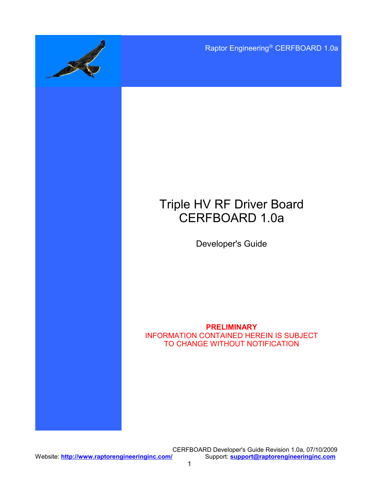Raptor Engineering® CERFBOARD 1.0a

# Triple HV RF Driver Board CERFBOARD 1.0a

Developer's Guide

**PRELIMINARY** INFORMATION CONTAINED HEREIN IS SUBJECT TO CHANGE WITHOUT NOTIFICATION

CERFBOARD Developer's Guide Revision 1.0a, 07/10/2009<br>Support: **support@raptorengineeringinc.com**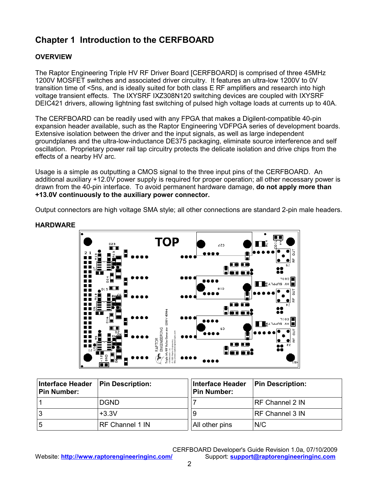# **Chapter 1 Introduction to the CERFBOARD**

## **OVERVIEW**

The Raptor Engineering Triple HV RF Driver Board [CERFBOARD] is comprised of three 45MHz 1200V MOSFET switches and associated driver circuitry. It features an ultra-low 1200V to 0V transition time of <5ns, and is ideally suited for both class E RF amplifiers and research into high voltage transient effects. The IXYSRF IXZ308N120 switching devices are coupled with IXYSRF DEIC421 drivers, allowing lightning fast switching of pulsed high voltage loads at currents up to 40A.

The CERFBOARD can be readily used with any FPGA that makes a Digilent-compatible 40-pin expansion header available, such as the Raptor Engineering VDFPGA series of development boards. Extensive isolation between the driver and the input signals, as well as large independent groundplanes and the ultra-low-inductance DE375 packaging, eliminate source interference and self oscillation. Proprietary power rail tap circuitry protects the delicate isolation and drive chips from the effects of a nearby HV arc.

Usage is a simple as outputting a CMOS signal to the three input pins of the CERFBOARD. An additional auxiliary +12.0V power supply is required for proper operation; all other necessary power is drawn from the 40-pin interface. To avoid permanent hardware damage, **do not apply more than +13.0V continuously to the auxiliary power connector.**

Output connectors are high voltage SMA style; all other connections are standard 2-pin male headers.



### **HARDWARE**

| <b>Interface Header</b><br><b>Pin Number:</b> | <b>Pin Description:</b> | Interface Header<br>Pin Number: | <b>Pin Description:</b> |
|-----------------------------------------------|-------------------------|---------------------------------|-------------------------|
|                                               | <b>DGND</b>             |                                 | RF Channel 2 IN         |
|                                               | $+3.3V$                 | 9                               | RF Channel 3 IN         |
| 5                                             | RF Channel 1 IN         | All other pins                  | N/C                     |

2

CERFBOARD Developer's Guide Revision 1.0a, 07/10/2009